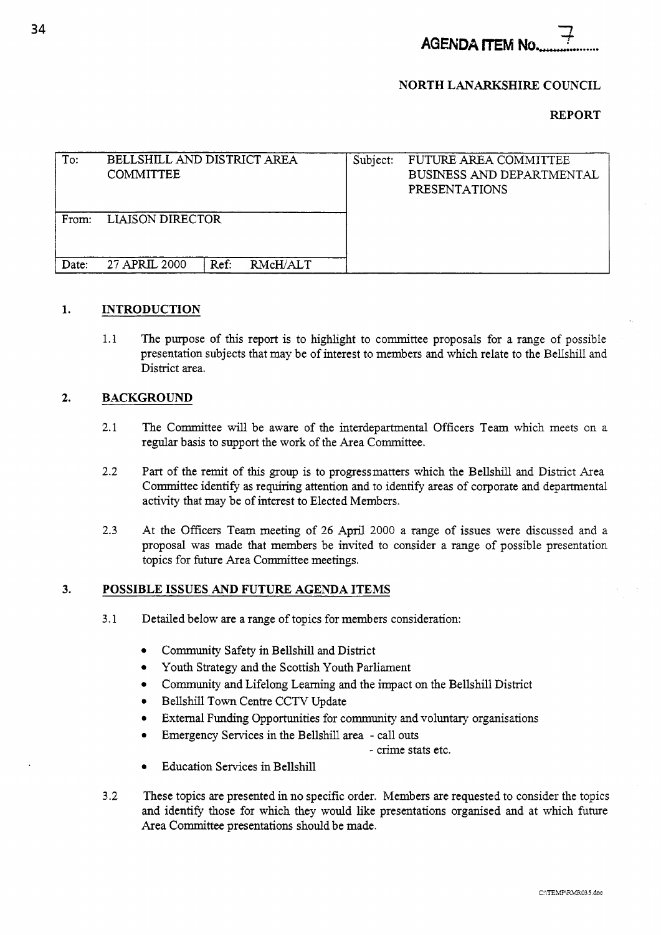**AGENDA ITEM No.** 

## **NORTH LANARKSHIRE COUNCIL**

### **REPORT**

| To:          | BELLSHILL AND DISTRICT AREA<br><b>COMMITTEE</b> |                  | Subject: | FUTURE AREA COMMITTEE<br>BUSINESS AND DEPARTMENTAL<br><b>PRESENTATIONS</b> |
|--------------|-------------------------------------------------|------------------|----------|----------------------------------------------------------------------------|
| From:        | <b>LIAISON DIRECTOR</b>                         |                  |          |                                                                            |
| <b>Date:</b> | 27 APRIL 2000                                   | Ref:<br>RMcH/ALT |          |                                                                            |

#### **1. INTRODUCTION**

1.1 The purpose of this report is to highlight to committee proposals for a range of possible presentation subjects that may be of interest to members and which relate to the Bellshill and District area.

#### **2. BACKGROUND**

- 2.1 The Committee will be aware of the interdepartmental Officers Team which meets on a regular basis to support the work of the Area Committee.
- 2.2 **Part** of the remit of this group is to progressmatters which the Bellshill and District Area Committee identify **as** requiring attention and to identify areas of corporate and departmental activity that may be of interest to Elected Members.
- 2.3 At the Officers Team meeting of 26 April 2000 a range of issues were discussed and a proposal was made that members be invited to consider a range of possible presentation topics for future Area Committee meetings.

#### **3. POSSIBLE ISSUES AND FUTURE AGENDA ITEMS**

- 3.1 Detailed below are a range of topics for members consideration:
	- $\bullet$ Community Safety in Bellshill and District
	- Youth Strategy and the Scottish Youth Parliament  $\bullet$
	- Community and Lifelong Learning and the impact on the Bellshill District
	- Bellshill Town Centre CCTV Update
	- External Funding Opportunities for community and voluntary organisations
	- Emergency Services in the Bellshill area call outs
		- crime stats etc.
	- Education Services in Bellshill
- 3.2 These topics are presented in no specific order. Members are requested to consider the topics and identify those for which they would like presentations organised and at which future Area Committee presentations should be made.